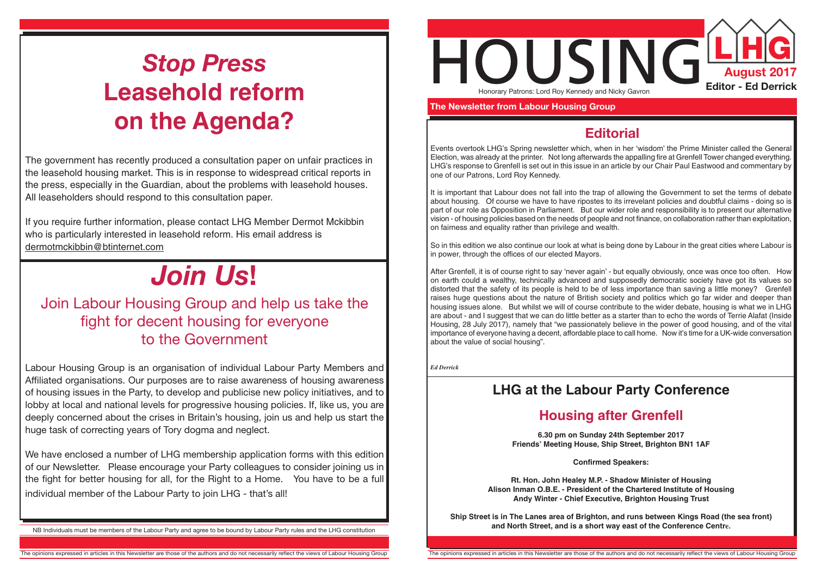

 **The Newsletter from Labour Housing Group**

### **Editorial**

Events overtook LHG's Spring newsletter which, when in her 'wisdom' the Prime Minister called the General Election, was already at the printer. Not long afterwards the appalling fire at Grenfell Tower changed everything. LHG's response to Grenfell is set out in this issue in an article by our Chair Paul Eastwood and commentary by one of our Patrons, Lord Roy Kennedy.

It is important that Labour does not fall into the trap of allowing the Government to set the terms of debate about housing. Of course we have to have ripostes to its irrevelant policies and doubtful claims - doing so is part of our role as Opposition in Parliament. But our wider role and responsibility is to present our alternative vision - of housing policies based on the needs of people and not finance, on collaboration rather than exploitation, on fairness and equality rather than privilege and wealth.

So in this edition we also continue our look at what is being done by Labour in the great cities where Labour is in power, through the offices of our elected Mayors.

**Ship Street is in The Lanes area of Brighton, and runs between Kings Road (the sea front)** NB Individuals must be members of the Labour Party and agree to be bound by Labour Party rules and the LHG constitution<br>NB Individuals must be members of the Labour Party and agree to be bound by Labour Party rules and the

HOUSING**L HG** Honorary Patrons: Lord Roy Kennedy and Nicky Gavron

After Grenfell, it is of course right to say 'never again' - but equally obviously, once was once too often. How on earth could a wealthy, technically advanced and supposedly democratic society have got its values so distorted that the safety of its people is held to be of less importance than saving a little money? Grenfell raises huge questions about the nature of British society and politics which go far wider and deeper than housing issues alone. But whilst we will of course contribute to the wider debate, housing is what we in LHG are about - and I suggest that we can do little better as a starter than to echo the words of Terrie Alafat (Inside Housing, 28 July 2017), namely that "we passionately believe in the power of good housing, and of the vital importance of everyone having a decent, affordable place to call home. Now it's time for a UK-wide conversation about the value of social housing".

*Ed Derrick*

### **LHG at the Labour Party Conference**

## **Housing after Grenfell**

**6.30 pm on Sunday 24th September 2017 Friends' Meeting House, Ship Street, Brighton BN1 1AF**

**Confirmed Speakers:**

**Rt. Hon. John Healey M.P. - Shadow Minister of Housing Alison Inman O.B.E. - President of the Chartered Institute of Housing Andy Winter - Chief Executive, Brighton Housing Trust**

# *Stop Press* **Leasehold reform on the Agenda?**

The government has recently produced a consultation paper on unfair practices in the leasehold housing market. This is in response to widespread critical reports in the press, especially in the Guardian, about the problems with leasehold houses. All leaseholders should respond to this consultation paper.

If you require further information, please contact LHG Member Dermot Mckibbin who is particularly interested in leasehold reform. His email address is dermotmckibbin@btinternet.com

# *Join Us***!**

## Join Labour Housing Group and help us take the fight for decent housing for everyone to the Government

Labour Housing Group is an organisation of individual Labour Party Members and Affiliated organisations. Our purposes are to raise awareness of housing awareness of housing issues in the Party, to develop and publicise new policy initiatives, and to lobby at local and national levels for progressive housing policies. If, like us, you are deeply concerned about the crises in Britain's housing, join us and help us start the huge task of correcting years of Tory dogma and neglect.

We have enclosed a number of LHG membership application forms with this edition of our Newsletter. Please encourage your Party colleagues to consider joining us in the fight for better housing for all, for the Right to a Home. You have to be a full individual member of the Labour Party to join LHG - that's all!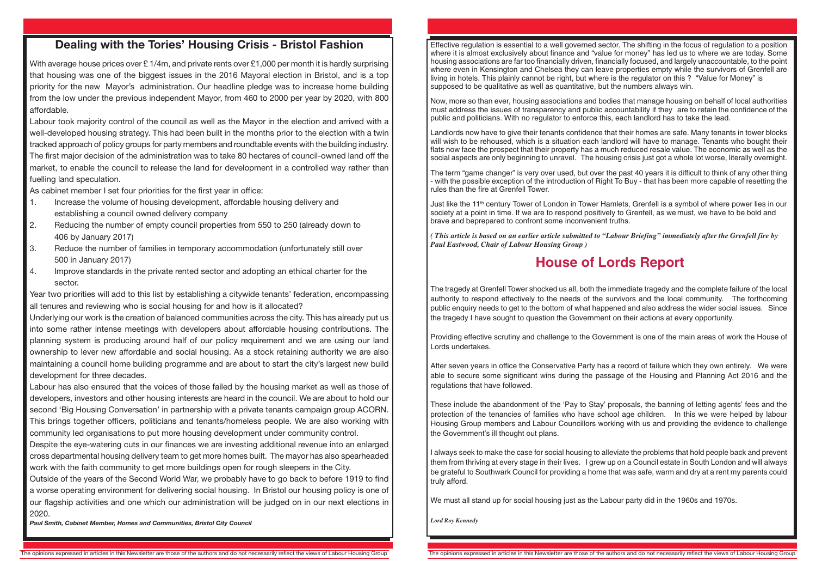### **Dealing with the Tories' Housing Crisis - Bristol Fashion**

With average house prices over £1/4m, and private rents over £1,000 per month it is hardly surprising that housing was one of the biggest issues in the 2016 Mayoral election in Bristol, and is a top priority for the new Mayor's administration. Our headline pledge was to increase home building from the low under the previous independent Mayor, from 460 to 2000 per year by 2020, with 800 affordable.

Labour took majority control of the council as well as the Mayor in the election and arrived with a well-developed housing strategy. This had been built in the months prior to the election with a twin tracked approach of policy groups for party members and roundtable events with the building industry. The first major decision of the administration was to take 80 hectares of council-owned land off the market, to enable the council to release the land for development in a controlled way rather than fuelling land speculation.

As cabinet member I set four priorities for the first year in office:

- 1. Increase the volume of housing development, affordable housing delivery and establishing a council owned delivery company
- 2. Reducing the number of empty council properties from 550 to 250 (already down to 406 by January 2017)
- 3. Reduce the number of families in temporary accommodation (unfortunately still over 500 in January 2017)
- 4. Improve standards in the private rented sector and adopting an ethical charter for the sector.

Year two priorities will add to this list by establishing a citywide tenants' federation, encompassing all tenures and reviewing who is social housing for and how is it allocated?

Underlying our work is the creation of balanced communities across the city. This has already put us into some rather intense meetings with developers about affordable housing contributions. The planning system is producing around half of our policy requirement and we are using our land ownership to lever new affordable and social housing. As a stock retaining authority we are also maintaining a council home building programme and are about to start the city's largest new build development for three decades.

Labour has also ensured that the voices of those failed by the housing market as well as those of developers, investors and other housing interests are heard in the council. We are about to hold our second 'Big Housing Conversation' in partnership with a private tenants campaign group ACORN. This brings together officers, politicians and tenants/homeless people. We are also working with community led organisations to put more housing development under community control.

Just like the 11<sup>th</sup> century Tower of London in Tower Hamlets, Grenfell is a symbol of where power lies in our society at a point in time. If we are to respond positively to Grenfell, as we must, we have to be bold and brave and beprepared to confront some inconvenient truths.

Despite the eye-watering cuts in our finances we are investing additional revenue into an enlarged cross departmental housing delivery team to get more homes built. The mayor has also spearheaded work with the faith community to get more buildings open for rough sleepers in the City.

Outside of the years of the Second World War, we probably have to go back to before 1919 to find a worse operating environment for delivering social housing. In Bristol our housing policy is one of our flagship activities and one which our administration will be judged on in our next elections in 2020.

*Paul Smith, Cabinet Member, Homes and Communities, Bristol City Council*

Effective regulation is essential to a well governed sector. The shifting in the focus of regulation to a position where it is almost exclusively about finance and "value for money" has led us to where we are today. Some housing associations are far too financially driven, financially focused, and largely unaccountable, to the point where even in Kensington and Chelsea they can leave properties empty while the survivors of Grenfell are living in hotels. This plainly cannot be right, but where is the regulator on this ? "Value for Money" is supposed to be qualitative as well as quantitative, but the numbers always win.

Now, more so than ever, housing associations and bodies that manage housing on behalf of local authorities must address the issues of transparency and public accountability if they are to retain the confidence of the public and politicians. With no regulator to enforce this, each landlord has to take the lead.

Landlords now have to give their tenants confidence that their homes are safe. Many tenants in tower blocks will wish to be rehoused, which is a situation each landlord will have to manage. Tenants who bought their flats now face the prospect that their property has a much reduced resale value. The economic as well as the social aspects are only beginning to unravel. The housing crisis just got a whole lot worse, literally overnight.

The term "game changer" is very over used, but over the past 40 years it is difficult to think of any other thing - with the possible exception of the introduction of Right To Buy - that has been more capable of resetting the rules than the fire at Grenfell Tower.

*( This article is based on an earlier article submitted to "Labour Briefing" immediately after the Grenfell fire by Paul Eastwood, Chair of Labour Housing Group )*

## **House of Lords Report**

The tragedy at Grenfell Tower shocked us all, both the immediate tragedy and the complete failure of the local authority to respond effectively to the needs of the survivors and the local community. The forthcoming public enquiry needs to get to the bottom of what happened and also address the wider social issues. Since the tragedy I have sought to question the Government on their actions at every opportunity.

Providing effective scrutiny and challenge to the Government is one of the main areas of work the House of Lords undertakes.

After seven years in office the Conservative Party has a record of failure which they own entirely. We were able to secure some significant wins during the passage of the Housing and Planning Act 2016 and the regulations that have followed.

These include the abandonment of the 'Pay to Stay' proposals, the banning of letting agents' fees and the protection of the tenancies of families who have school age children. In this we were helped by labour Housing Group members and Labour Councillors working with us and providing the evidence to challenge the Government's ill thought out plans.

I always seek to make the case for social housing to alleviate the problems that hold people back and prevent them from thriving at every stage in their lives. I grew up on a Council estate in South London and will always be grateful to Southwark Council for providing a home that was safe, warm and dry at a rent my parents could truly afford.

We must all stand up for social housing just as the Labour party did in the 1960s and 1970s.

*Lord Roy Kennedy*

The opinions expressed in articles in this Newsletter are those of the authors and do not necessarily reflect the views of Labour Housing Group The opinions expressed in articles in this Newsletter are those of the authors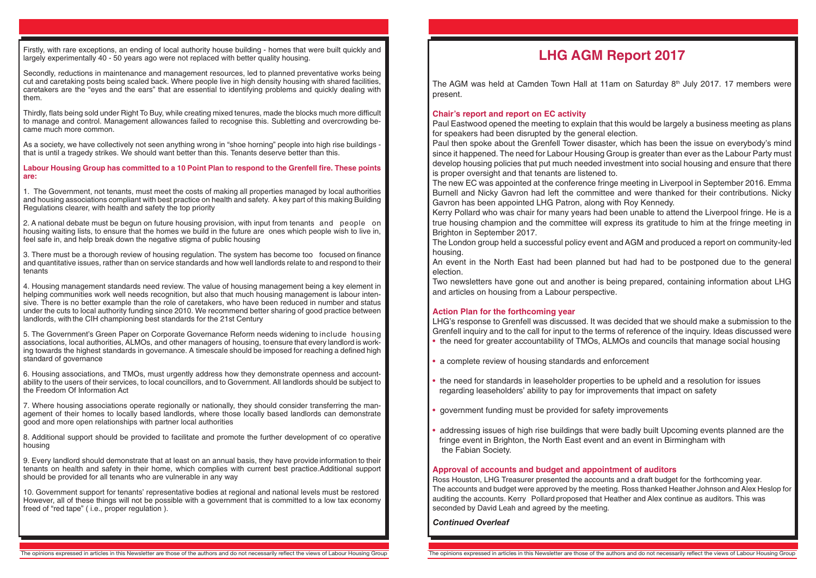The AGM was held at Camden Town Hall at 11am on Saturday  $8<sup>th</sup>$  July 2017. 17 members were present.

### **LHG AGM Report 2017**

### **Chair's report and report on EC activity**

LHG's response to Grenfell was discussed. It was decided that we should make a submission to the Grenfell inquiry and to the call for input to the terms of reference of the inquiry. Ideas discussed were • the need for greater accountability of TMOs, ALMOs and councils that manage social housing

Paul Eastwood opened the meeting to explain that this would be largely a business meeting as plans for speakers had been disrupted by the general election. Paul then spoke about the Grenfell Tower disaster, which has been the issue on everybody's mind since it happened. The need for Labour Housing Group is greater than ever as the Labour Party must develop housing policies that put much needed investment into social housing and ensure that there is proper oversight and that tenants are listened to. The new EC was appointed at the conference fringe meeting in Liverpool in September 2016. Emma Burnell and Nicky Gavron had left the committee and were thanked for their contributions. Nicky Gavron has been appointed LHG Patron, along with Roy Kennedy. Kerry Pollard who was chair for many years had been unable to attend the Liverpool fringe. He is a true housing champion and the committee will express its gratitude to him at the fringe meeting in Brighton in September 2017.

The London group held a successful policy event and AGM and produced a report on community-led housing.

An event in the North East had been planned but had had to be postponed due to the general election.

Two newsletters have gone out and another is being prepared, containing information about LHG and articles on housing from a Labour perspective.

### **Action Plan for the forthcoming year**

- 
- a complete review of housing standards and enforcement
- the need for standards in leaseholder properties to be upheld and a resolution for issues regarding leaseholders' ability to pay for improvements that impact on safety
- government funding must be provided for safety improvements
- addressing issues of high rise buildings that were badly built Upcoming events planned are the fringe event in Brighton, the North East event and an event in Birmingham with the Fabian Society.

**Approval of accounts and budget and appointment of auditors** Ross Houston, LHG Treasurer presented the accounts and a draft budget for the forthcoming year. The accounts and budget were approved by the meeting. Ross thanked Heather Johnson and Alex Heslop for auditing the accounts. Kerry Pollard proposed that Heather and Alex continue as auditors. This was seconded by David Leah and agreed by the meeting.

Firstly, with rare exceptions, an ending of local authority house building - homes that were built quickly and largely experimentally 40 - 50 years ago were not replaced with better quality housing.

Secondly, reductions in maintenance and management resources, led to planned preventative works being cut and caretaking posts being scaled back. Where people live in high density housing with shared facilities, caretakers are the "eyes and the ears" that are essential to identifying problems and quickly dealing with them.

Thirdly, flats being sold under Right To Buy, while creating mixed tenures, made the blocks much more difficult to manage and control. Management allowances failed to recognise this. Subletting and overcrowding became much more common.

As a society, we have collectively not seen anything wrong in "shoe horning" people into high rise buildings that is until a tragedy strikes. We should want better than this. Tenants deserve better than this.

**Labour Housing Group has committed to a 10 Point Plan to respond to the Grenfell fire. These points are:**

1. The Government, not tenants, must meet the costs of making all properties managed by local authorities and housing associations compliant with best practice on health and safety. A key part of this making Building Regulations clearer, with health and safety the top priority

2. A national debate must be begun on future housing provision, with input from tenants and people on housing waiting lists, to ensure that the homes we build in the future are ones which people wish to live in, feel safe in, and help break down the negative stigma of public housing

3. There must be a thorough review of housing regulation. The system has become too focused on finance and quantitative issues, rather than on service standards and how well landlords relate to and respond to their tenants

4. Housing management standards need review. The value of housing management being a key element in helping communities work well needs recognition, but also that much housing management is labour intensive. There is no better example than the role of caretakers, who have been reduced in number and status under the cuts to local authority funding since 2010. We recommend better sharing of good practice between landlords, with the CIH championing best standards for the 21st Century

5. The Government's Green Paper on Corporate Governance Reform needs widening to include housing associations, local authorities, ALMOs, and other managers of housing, toensure that every landlord is working towards the highest standards in governance. A timescale should be imposed for reaching a defined high standard of governance

6. Housing associations, and TMOs, must urgently address how they demonstrate openness and accountability to the users of their services, to local councillors, and to Government. All landlords should be subject to the Freedom Of Information Act

7. Where housing associations operate regionally or nationally, they should consider transferring the management of their homes to locally based landlords, where those locally based landlords can demonstrate good and more open relationships with partner local authorities

8. Additional support should be provided to facilitate and promote the further development of co operative housing

9. Every landlord should demonstrate that at least on an annual basis, they have provide information to their tenants on health and safety in their home, which complies with current best practice.Additional support should be provided for all tenants who are vulnerable in any way

10. Government support for tenants' representative bodies at regional and national levels must be restored However, all of these things will not be possible with a government that is committed to a low tax economy freed of "red tape" ( i.e., proper regulation ).

*Continued Overleaf*